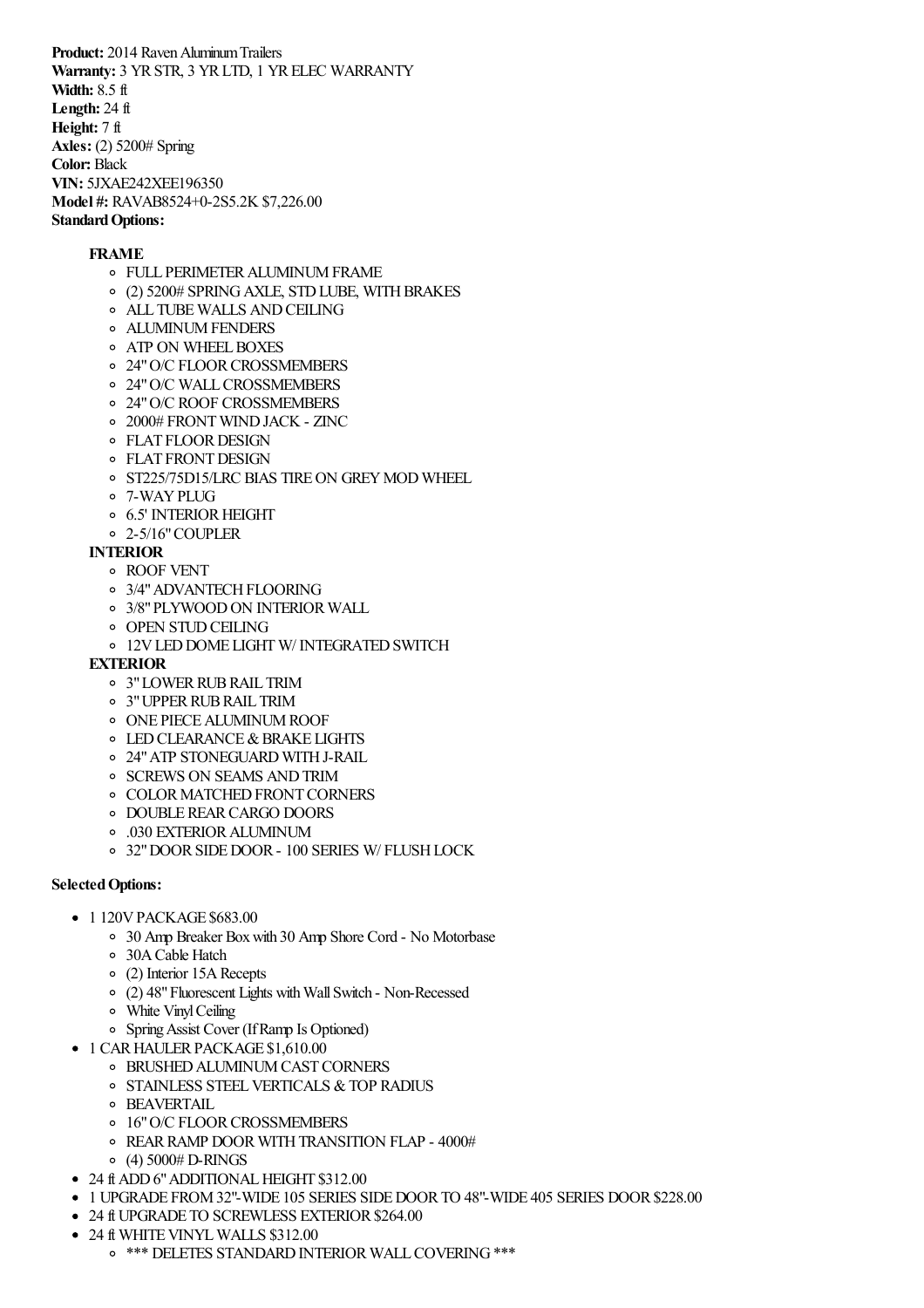**Product:** 2014 Raven Aluminum Trailers Warranty: 3 YR STR, 3 YR LTD, 1 YR ELEC WARRANTY **Width:** 8.5 ft **Length:** 24 ft **Height:** 7 ft **Axles:** (2) 5200# Spring **Color:** Black **VIN:** 5JXAE242XEE196350 **Model #:** RAVAB8524+0-2S5.2K \$7,226.00 **Standard Options:** 

## **FRAME**

- o FULL PERIMETER ALUMINUM FRAME
- $\circ$  (2) 5200# SPRING AXLE, STD LUBE, WITH BRAKES
- ALL TUBEWALLS ANDCEILING
- o ALUMINUM FENDERS
- o ATP ON WHEEL BOXES
- o 24" O/C FLOOR CROSSMEMBERS
- o 24" O/C WALL CROSSMEMBERS
- 24"O/C ROOF CROSSMEMBERS
- 2000# FRONTWINDJACK ZINC
- **O** FLAT FLOOR DESIGN
- **O** FLAT FRONT DESIGN
- o ST225/75D15/LRC BIAS TIRE ON GREY MOD WHEEL
- 7-WAYPLUG
- <sup>o</sup> 6.5' INTERIOR HEIGHT
- 2-5/16"COUPLER

## **INTERIOR**

- ROOF VENT
- o 3/4" ADVANTECH FLOORING
- o 3/8" PLYWOOD ON INTERIOR WALL
- **OPEN STUD CEILING**
- <sup>o</sup> 12V LED DOME LIGHT W/ INTEGRATED SWITCH

## **EXTERIOR**

- o 3" LOWER RUB RAIL TRIM
- 3"UPPERRUBRAIL TRIM
- ONE PIECEALUMINUMROOF
- o LED CLEARANCE & BRAKE LIGHTS
- 24"ATP STONEGUARD WITHJ-RAIL
- o SCREWS ON SEAMS AND TRIM
- **O COLOR MATCHED FRONT CORNERS**
- o DOUBLE REAR CARGO DOORS
- .030 EXTERIORALUMINUM
- o 32" DOOR SIDE DOOR 100 SERIES W/ FLUSH LOCK

## **Selected Options:**

- 1 120V PACKAGE \$683.00
	- 30 Amp Breaker Boxwith 30 Amp Shore Cord No Motorbase
	- 30ACable Hatch
	- (2) Interior 15ARecepts
	- (2) 48"Fluorescent Lights withWallSwitch Non-Recessed
	- o White Vinyl Ceiling
	- SpringAssist Cover (IfRamp Is Optioned)
- 1 CAR HAULER PACKAGE \$1,610.00
	- o BRUSHED ALUMINUM CAST CORNERS
	- o STAINLESS STEEL VERTICALS & TOP RADIUS
	- **O** BEAVERTAIL
	- o 16" O/C FLOOR CROSSMEMBERS
	- o REAR RAMP DOOR WITH TRANSITION FLAP 4000#
	- $\circ$  (4) 5000# D-RINGS
- 24 ft ADD 6" ADDITIONAL HEIGHT \$312.00
- 1 UPGRADE FROM32"-WIDE 105 SERIES SIDEDOORTO 48"-WIDE 405 SERIES DOOR\$228.00
- 24 ft UPGRADE TO SCREWLESS EXTERIOR \$264.00
- 24 ft WHITE VINYL WALLS \$312.00
	- o \*\*\* DELETES STANDARD INTERIOR WALL COVERING \*\*\*